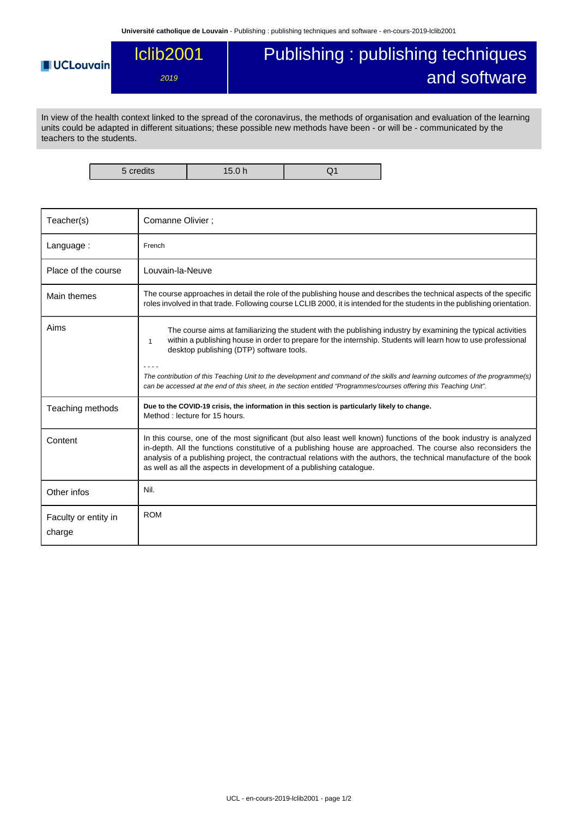## **UCLouvain**

## Publishing : publishing techniques and software

In view of the health context linked to the spread of the coronavirus, the methods of organisation and evaluation of the learning units could be adapted in different situations; these possible new methods have been - or will be - communicated by the teachers to the students.

lclib2001

2019

5 credits 15.0 h Q1

| Teacher(s)                     | Comanne Olivier;                                                                                                                                                                                                                                                                                                                                                                                                                    |
|--------------------------------|-------------------------------------------------------------------------------------------------------------------------------------------------------------------------------------------------------------------------------------------------------------------------------------------------------------------------------------------------------------------------------------------------------------------------------------|
| Language:                      | French                                                                                                                                                                                                                                                                                                                                                                                                                              |
| Place of the course            | Louvain-la-Neuve                                                                                                                                                                                                                                                                                                                                                                                                                    |
| Main themes                    | The course approaches in detail the role of the publishing house and describes the technical aspects of the specific<br>roles involved in that trade. Following course LCLIB 2000, it is intended for the students in the publishing orientation.                                                                                                                                                                                   |
| Aims                           | The course aims at familiarizing the student with the publishing industry by examining the typical activities<br>within a publishing house in order to prepare for the internship. Students will learn how to use professional<br>$\mathbf{1}$<br>desktop publishing (DTP) software tools.                                                                                                                                          |
|                                | The contribution of this Teaching Unit to the development and command of the skills and learning outcomes of the programme(s)<br>can be accessed at the end of this sheet, in the section entitled "Programmes/courses offering this Teaching Unit".                                                                                                                                                                                |
| Teaching methods               | Due to the COVID-19 crisis, the information in this section is particularly likely to change.<br>Method: lecture for 15 hours.                                                                                                                                                                                                                                                                                                      |
| Content                        | In this course, one of the most significant (but also least well known) functions of the book industry is analyzed<br>in-depth. All the functions constitutive of a publishing house are approached. The course also reconsiders the<br>analysis of a publishing project, the contractual relations with the authors, the technical manufacture of the book<br>as well as all the aspects in development of a publishing catalogue. |
| Other infos                    | Nil.                                                                                                                                                                                                                                                                                                                                                                                                                                |
| Faculty or entity in<br>charge | <b>ROM</b>                                                                                                                                                                                                                                                                                                                                                                                                                          |